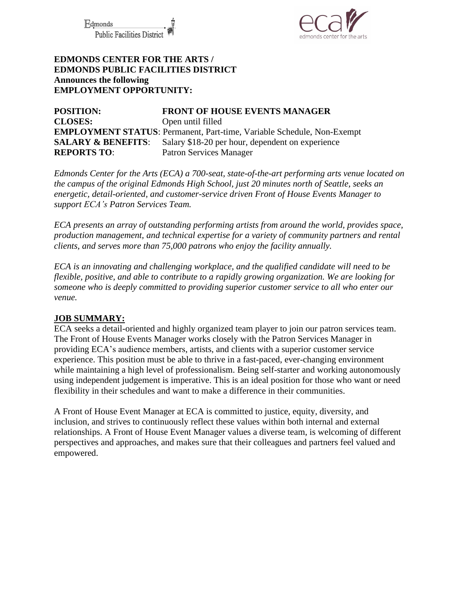Fdmonds **Public Facilities Distric** 



## **EDMONDS CENTER FOR THE ARTS / EDMONDS PUBLIC FACILITIES DISTRICT Announces the following EMPLOYMENT OPPORTUNITY:**

**POSITION: FRONT OF HOUSE EVENTS MANAGER CLOSES:** Open until filled **EMPLOYMENT STATUS**: Permanent, Part-time, Variable Schedule, Non-Exempt **SALARY & BENEFITS:** Salary \$18-20 per hour, dependent on experience **REPORTS TO**: Patron Services Manager

*Edmonds Center for the Arts (ECA) a 700-seat, state-of-the-art performing arts venue located on the campus of the original Edmonds High School, just 20 minutes north of Seattle, seeks an energetic, detail-oriented, and customer-service driven Front of House Events Manager to support ECA's Patron Services Team.*

*ECA presents an array of outstanding performing artists from around the world, provides space, production management, and technical expertise for a variety of community partners and rental clients, and serves more than 75,000 patrons who enjoy the facility annually.* 

*ECA is an innovating and challenging workplace, and the qualified candidate will need to be flexible, positive, and able to contribute to a rapidly growing organization. We are looking for someone who is deeply committed to providing superior customer service to all who enter our venue.*

### **JOB SUMMARY:**

ECA seeks a detail-oriented and highly organized team player to join our patron services team. The Front of House Events Manager works closely with the Patron Services Manager in providing ECA's audience members, artists, and clients with a superior customer service experience. This position must be able to thrive in a fast-paced, ever-changing environment while maintaining a high level of professionalism. Being self-starter and working autonomously using independent judgement is imperative. This is an ideal position for those who want or need flexibility in their schedules and want to make a difference in their communities.

A Front of House Event Manager at ECA is committed to justice, equity, diversity, and inclusion, and strives to continuously reflect these values within both internal and external relationships. A Front of House Event Manager values a diverse team, is welcoming of different perspectives and approaches, and makes sure that their colleagues and partners feel valued and empowered.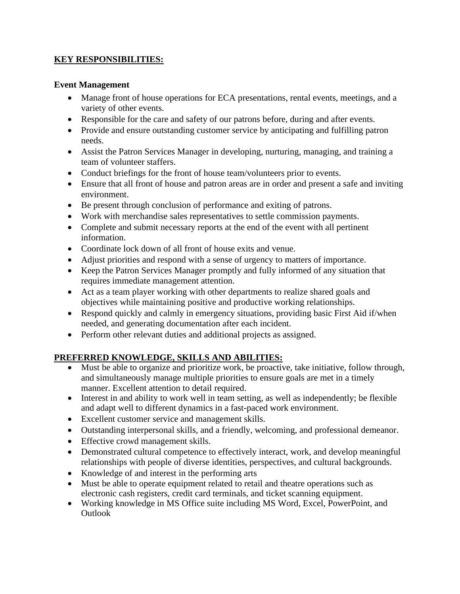## **KEY RESPONSIBILITIES:**

#### **Event Management**

- Manage front of house operations for ECA presentations, rental events, meetings, and a variety of other events.
- Responsible for the care and safety of our patrons before, during and after events.
- Provide and ensure outstanding customer service by anticipating and fulfilling patron needs.
- Assist the Patron Services Manager in developing, nurturing, managing, and training a team of volunteer staffers.
- Conduct briefings for the front of house team/volunteers prior to events.
- Ensure that all front of house and patron areas are in order and present a safe and inviting environment.
- Be present through conclusion of performance and exiting of patrons.
- Work with merchandise sales representatives to settle commission payments.
- Complete and submit necessary reports at the end of the event with all pertinent information.
- Coordinate lock down of all front of house exits and venue.
- Adjust priorities and respond with a sense of urgency to matters of importance.
- Keep the Patron Services Manager promptly and fully informed of any situation that requires immediate management attention.
- Act as a team player working with other departments to realize shared goals and objectives while maintaining positive and productive working relationships.
- Respond quickly and calmly in emergency situations, providing basic First Aid if/when needed, and generating documentation after each incident.
- Perform other relevant duties and additional projects as assigned.

# **PREFERRED KNOWLEDGE, SKILLS AND ABILITIES:**

- Must be able to organize and prioritize work, be proactive, take initiative, follow through, and simultaneously manage multiple priorities to ensure goals are met in a timely manner. Excellent attention to detail required.
- Interest in and ability to work well in team setting, as well as independently; be flexible and adapt well to different dynamics in a fast-paced work environment.
- Excellent customer service and management skills.
- Outstanding interpersonal skills, and a friendly, welcoming, and professional demeanor.
- Effective crowd management skills.
- Demonstrated cultural competence to effectively interact, work, and develop meaningful relationships with people of diverse identities, perspectives, and cultural backgrounds.
- Knowledge of and interest in the performing arts
- Must be able to operate equipment related to retail and theatre operations such as electronic cash registers, credit card terminals, and ticket scanning equipment.
- Working knowledge in MS Office suite including MS Word, Excel, PowerPoint, and **Outlook**